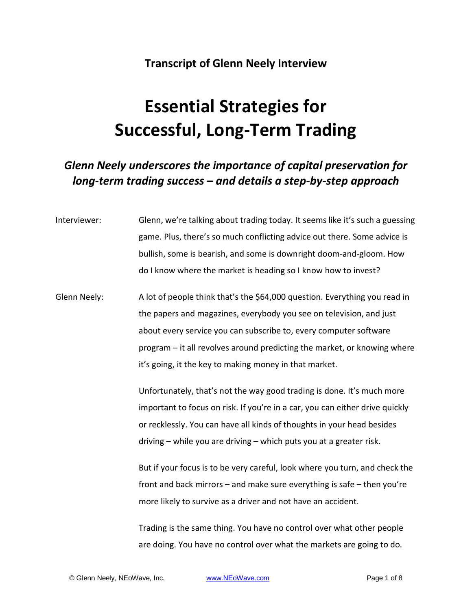#### **Transcript of Glenn Neely Interview**

# **Essential Strategies for Successful, Long-Term Trading**

#### *Glenn Neely underscores the importance of capital preservation for long-term trading success – and details a step-by-step approach*

Interviewer: Glenn, we're talking about trading today. It seems like it's such a guessing game. Plus, there's so much conflicting advice out there. Some advice is bullish, some is bearish, and some is downright doom-and-gloom. How do I know where the market is heading so I know how to invest?

Glenn Neely: A lot of people think that's the \$64,000 question. Everything you read in the papers and magazines, everybody you see on television, and just about every service you can subscribe to, every computer software program – it all revolves around predicting the market, or knowing where it's going, it the key to making money in that market.

> Unfortunately, that's not the way good trading is done. It's much more important to focus on risk. If you're in a car, you can either drive quickly or recklessly. You can have all kinds of thoughts in your head besides driving – while you are driving – which puts you at a greater risk.

But if your focus is to be very careful, look where you turn, and check the front and back mirrors – and make sure everything is safe – then you're more likely to survive as a driver and not have an accident.

Trading is the same thing. You have no control over what other people are doing. You have no control over what the markets are going to do.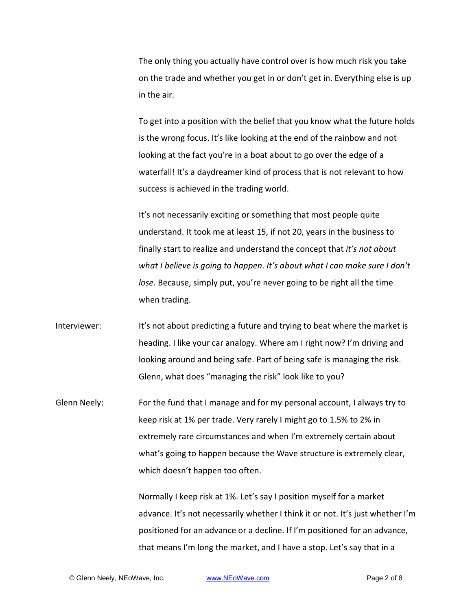The only thing you actually have control over is how much risk you take on the trade and whether you get in or don't get in. Everything else is up in the air.

To get into a position with the belief that you know what the future holds is the wrong focus. It's like looking at the end of the rainbow and not looking at the fact you're in a boat about to go over the edge of a waterfall! It's a daydreamer kind of process that is not relevant to how success is achieved in the trading world.

It's not necessarily exciting or something that most people quite understand. It took me at least 15, if not 20, years in the business to finally start to realize and understand the concept that *it's not about what I believe is going to happen*. *It's about what I can make sure I don't lose.* Because, simply put, you're never going to be right all the time when trading.

Interviewer: It's not about predicting a future and trying to beat where the market is heading. I like your car analogy. Where am I right now? I'm driving and looking around and being safe. Part of being safe is managing the risk. Glenn, what does "managing the risk" look like to you?

Glenn Neely: For the fund that I manage and for my personal account, I always try to keep risk at 1% per trade. Very rarely I might go to 1.5% to 2% in extremely rare circumstances and when I'm extremely certain about what's going to happen because the Wave structure is extremely clear, which doesn't happen too often.

> Normally I keep risk at 1%. Let's say I position myself for a market advance. It's not necessarily whether I think it or not. It's just whether I'm positioned for an advance or a decline. If I'm positioned for an advance, that means I'm long the market, and I have a stop. Let's say that in a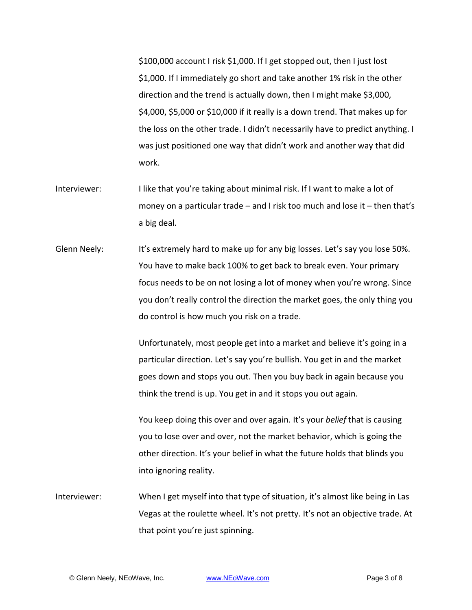\$100,000 account I risk \$1,000. If I get stopped out, then I just lost \$1,000. If I immediately go short and take another 1% risk in the other direction and the trend is actually down, then I might make \$3,000, \$4,000, \$5,000 or \$10,000 if it really is a down trend. That makes up for the loss on the other trade. I didn't necessarily have to predict anything. I was just positioned one way that didn't work and another way that did work.

- Interviewer: I like that you're taking about minimal risk. If I want to make a lot of money on a particular trade – and I risk too much and lose it – then that's a big deal.
- Glenn Neely: It's extremely hard to make up for any big losses. Let's say you lose 50%. You have to make back 100% to get back to break even. Your primary focus needs to be on not losing a lot of money when you're wrong. Since you don't really control the direction the market goes, the only thing you do control is how much you risk on a trade.

Unfortunately, most people get into a market and believe it's going in a particular direction. Let's say you're bullish. You get in and the market goes down and stops you out. Then you buy back in again because you think the trend is up. You get in and it stops you out again.

You keep doing this over and over again. It's your *belief* that is causing you to lose over and over, not the market behavior, which is going the other direction. It's your belief in what the future holds that blinds you into ignoring reality.

Interviewer: When I get myself into that type of situation, it's almost like being in Las Vegas at the roulette wheel. It's not pretty. It's not an objective trade. At that point you're just spinning.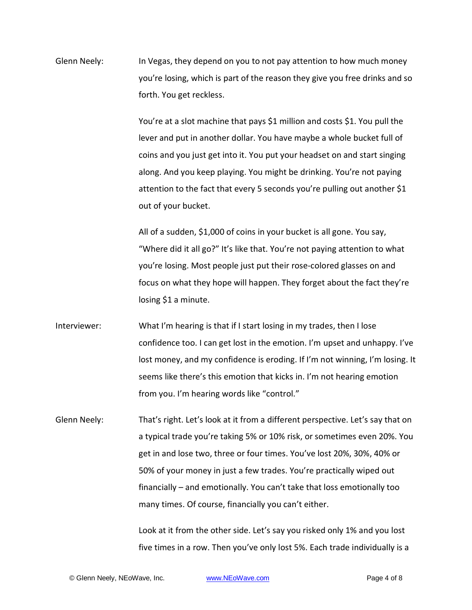Glenn Neely: In Vegas, they depend on you to not pay attention to how much money you're losing, which is part of the reason they give you free drinks and so forth. You get reckless.

> You're at a slot machine that pays \$1 million and costs \$1. You pull the lever and put in another dollar. You have maybe a whole bucket full of coins and you just get into it. You put your headset on and start singing along. And you keep playing. You might be drinking. You're not paying attention to the fact that every 5 seconds you're pulling out another \$1 out of your bucket.

All of a sudden, \$1,000 of coins in your bucket is all gone. You say, "Where did it all go?" It's like that. You're not paying attention to what you're losing. Most people just put their rose-colored glasses on and focus on what they hope will happen. They forget about the fact they're losing \$1 a minute.

Interviewer: What I'm hearing is that if I start losing in my trades, then I lose confidence too. I can get lost in the emotion. I'm upset and unhappy. I've lost money, and my confidence is eroding. If I'm not winning, I'm losing. It seems like there's this emotion that kicks in. I'm not hearing emotion from you. I'm hearing words like "control."

Glenn Neely: That's right. Let's look at it from a different perspective. Let's say that on a typical trade you're taking 5% or 10% risk, or sometimes even 20%. You get in and lose two, three or four times. You've lost 20%, 30%, 40% or 50% of your money in just a few trades. You're practically wiped out financially – and emotionally. You can't take that loss emotionally too many times. Of course, financially you can't either.

> Look at it from the other side. Let's say you risked only 1% and you lost five times in a row. Then you've only lost 5%. Each trade individually is a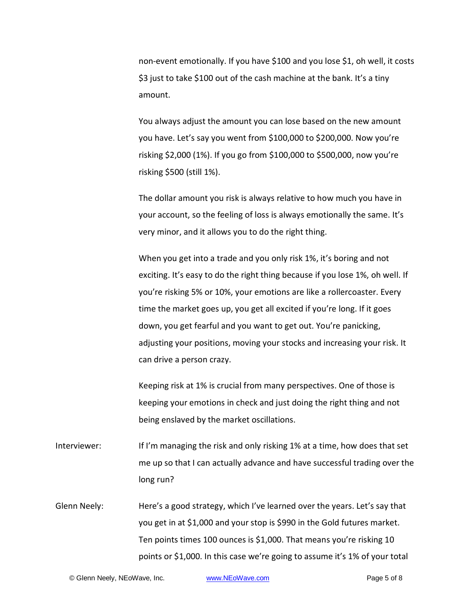non-event emotionally. If you have \$100 and you lose \$1, oh well, it costs \$3 just to take \$100 out of the cash machine at the bank. It's a tiny amount.

You always adjust the amount you can lose based on the new amount you have. Let's say you went from \$100,000 to \$200,000. Now you're risking \$2,000 (1%). If you go from \$100,000 to \$500,000, now you're risking \$500 (still 1%).

The dollar amount you risk is always relative to how much you have in your account, so the feeling of loss is always emotionally the same. It's very minor, and it allows you to do the right thing.

When you get into a trade and you only risk 1%, it's boring and not exciting. It's easy to do the right thing because if you lose 1%, oh well. If you're risking 5% or 10%, your emotions are like a rollercoaster. Every time the market goes up, you get all excited if you're long. If it goes down, you get fearful and you want to get out. You're panicking, adjusting your positions, moving your stocks and increasing your risk. It can drive a person crazy.

Keeping risk at 1% is crucial from many perspectives. One of those is keeping your emotions in check and just doing the right thing and not being enslaved by the market oscillations.

Interviewer: If I'm managing the risk and only risking 1% at a time, how does that set me up so that I can actually advance and have successful trading over the long run?

Glenn Neely: Here's a good strategy, which I've learned over the years. Let's say that you get in at \$1,000 and your stop is \$990 in the Gold futures market. Ten points times 100 ounces is \$1,000. That means you're risking 10 points or \$1,000. In this case we're going to assume it's 1% of your total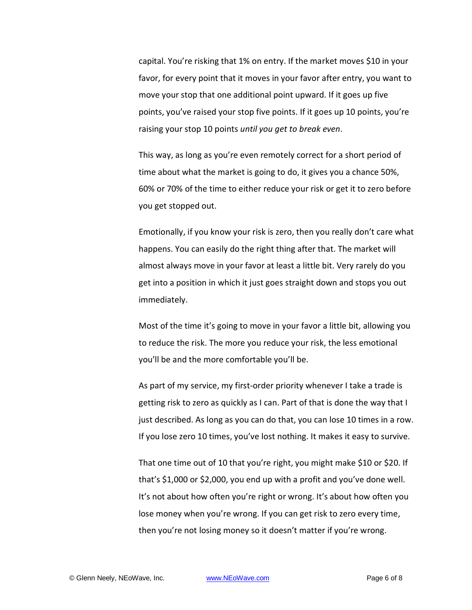capital. You're risking that 1% on entry. If the market moves \$10 in your favor, for every point that it moves in your favor after entry, you want to move your stop that one additional point upward. If it goes up five points, you've raised your stop five points. If it goes up 10 points, you're raising your stop 10 points *until you get to break even*.

This way, as long as you're even remotely correct for a short period of time about what the market is going to do, it gives you a chance 50%, 60% or 70% of the time to either reduce your risk or get it to zero before you get stopped out.

Emotionally, if you know your risk is zero, then you really don't care what happens. You can easily do the right thing after that. The market will almost always move in your favor at least a little bit. Very rarely do you get into a position in which it just goes straight down and stops you out immediately.

Most of the time it's going to move in your favor a little bit, allowing you to reduce the risk. The more you reduce your risk, the less emotional you'll be and the more comfortable you'll be.

As part of my service, my first-order priority whenever I take a trade is getting risk to zero as quickly as I can. Part of that is done the way that I just described. As long as you can do that, you can lose 10 times in a row. If you lose zero 10 times, you've lost nothing. It makes it easy to survive.

That one time out of 10 that you're right, you might make \$10 or \$20. If that's \$1,000 or \$2,000, you end up with a profit and you've done well. It's not about how often you're right or wrong. It's about how often you lose money when you're wrong. If you can get risk to zero every time, then you're not losing money so it doesn't matter if you're wrong.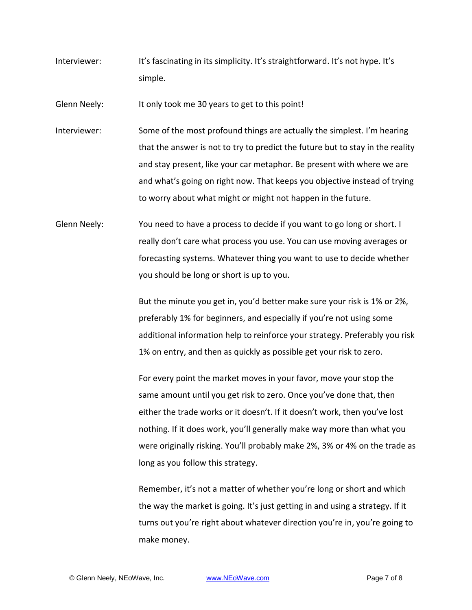Interviewer: It's fascinating in its simplicity. It's straightforward. It's not hype. It's simple.

Glenn Neely: It only took me 30 years to get to this point!

- Interviewer: Some of the most profound things are actually the simplest. I'm hearing that the answer is not to try to predict the future but to stay in the reality and stay present, like your car metaphor. Be present with where we are and what's going on right now. That keeps you objective instead of trying to worry about what might or might not happen in the future.
- Glenn Neely: You need to have a process to decide if you want to go long or short. I really don't care what process you use. You can use moving averages or forecasting systems. Whatever thing you want to use to decide whether you should be long or short is up to you.

But the minute you get in, you'd better make sure your risk is 1% or 2%, preferably 1% for beginners, and especially if you're not using some additional information help to reinforce your strategy. Preferably you risk 1% on entry, and then as quickly as possible get your risk to zero.

For every point the market moves in your favor, move your stop the same amount until you get risk to zero. Once you've done that, then either the trade works or it doesn't. If it doesn't work, then you've lost nothing. If it does work, you'll generally make way more than what you were originally risking. You'll probably make 2%, 3% or 4% on the trade as long as you follow this strategy.

Remember, it's not a matter of whether you're long or short and which the way the market is going. It's just getting in and using a strategy. If it turns out you're right about whatever direction you're in, you're going to make money.